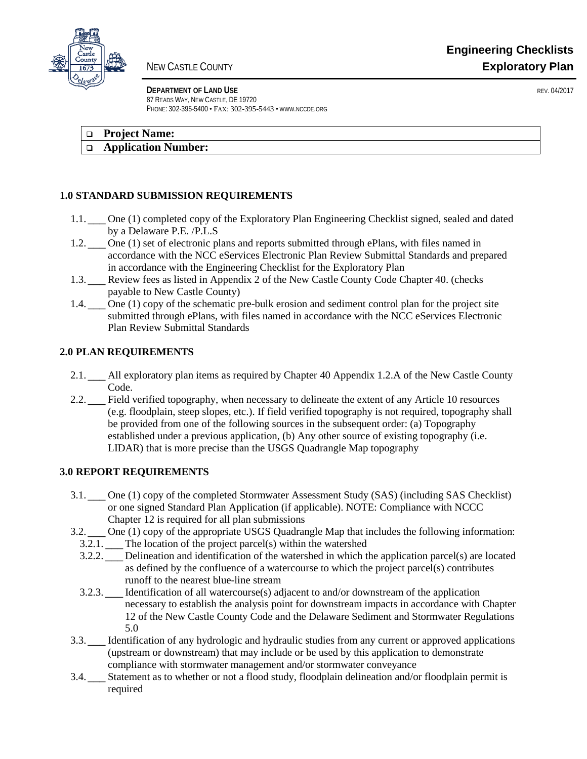

**DEPARTMENT OF LAND USE REV. 04/2017** 87 READS WAY, NEW CASTLE, DE 19720 PHONE: 302-395-5400 • FAX: 302-395-5443 • WWW.NCCDE.ORG

| <b>Project Name:</b> |
|----------------------|
|----------------------|

### **Application Number:**

# **1.0 STANDARD SUBMISSION REQUIREMENTS**

- 1.1.  $\Box$  One (1) completed copy of the Exploratory Plan Engineering Checklist signed, sealed and dated by a Delaware P.E. /P.L.S N – I
- One (1) set of electronic plans and reports submitted through ePlans, with files named in accordance with the NCC eServices Electronic Plan Review Submittal Standards and prepared in accordance with the Engineering Checklist for the Exploratory Plan  $1.2.$  N
- 1.3. **THE Review fees as listed in Appendix 2 of the New Castle County Code Chapter 40.** (checks payable to New Castle County) N – I
- One  $(1)$  copy of the schematic pre-bulk erosion and sediment control plan for the project site submitted through ePlans, with files named in accordance with the NCC eServices Electronic Plan Review Submittal Standards  $1.4.$

# **2.0 PLAN REQUIREMENTS**

- 2.1.  $\Box$  All exploratory plan items as required by Chapter 40 Appendix 1.2.A of the New Castle County Code.
- 2.2.  $\frac{N}{2}$  Field verified topography, when necessary to delineate the extent of any Article 10 resources (e.g. floodplain, steep slopes, etc.). If field verified topography is not required, topography shall be provided from one of the following sources in the subsequent order: (a) Topography established under a previous application, (b) Any other source of existing topography (i.e. LIDAR) that is more precise than the USGS Quadrangle Map topography

## **3.0 REPORT REQUIREMENTS**

- One (1) copy of the completed Stormwater Assessment Study (SAS) (including SAS Checklist) or one signed Standard Plan Application (if applicable). NOTE: Compliance with NCCC  $3.1.$   $^{\circ}$
- Chapter 12 is required for all plan submissions  $3.2.$ 
	- One (1) copy of the appropriate USGS Quadrangle Map that includes the following information:
	- 3.2.1.  $\blacksquare$  The location of the project parcel(s) within the watershed
	- 3.2.2.  $\blacksquare$  Delineation and identification of the watershed in which the application parcel(s) are located as defined by the confluence of a watercourse to which the project parcel(s) contributes runoff to the nearest blue-line stream
- 3.2.3.  $\sum_{n=1}^{\infty}$  Identification of all watercourse(s) adjacent to and/or downstream of the application necessary to establish the analysis point for downstream impacts in accordance with Chapter 12 of the New Castle County Code and the Delaware Sediment and Stormwater Regulations 5.0
- 3.3.  $\frac{N-1}{N}$  Identification of any hydrologic and hydraulic studies from any current or approved applications (upstream or downstream) that may include or be used by this application to demonstrate compliance with stormwater management and/or stormwater conveyance
- Statement as to whether or not a flood study, floodplain delineation and/or floodplain permit is  $3.4.1$
- required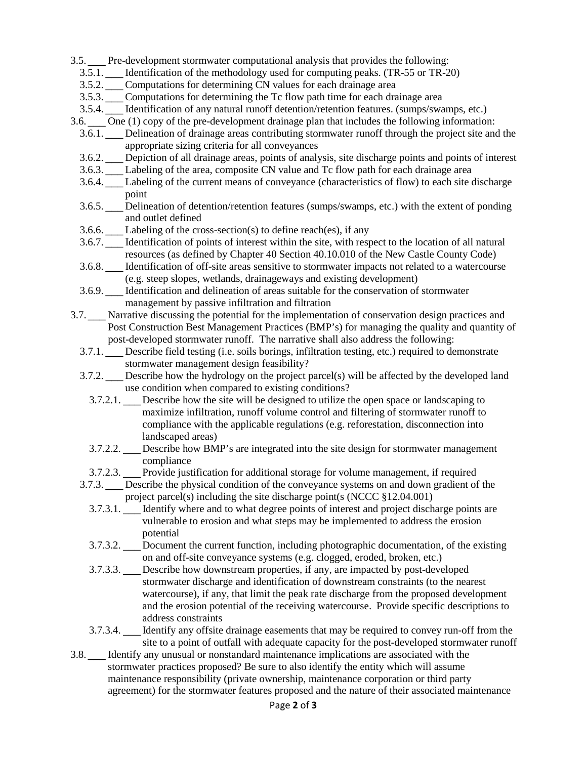3.5.  $\Box$  Pre-development stormwater computational analysis that provides the following:

- 3.5.1.  $\blacksquare$  Identification of the methodology used for computing peaks. (TR-55 or TR-20)
- 3.5.2.  $\Box$  Computations for determining CN values for each drainage area
- 3.5.3.  $\blacksquare$  Computations for determining the Tc flow path time for each drainage area
- 3.5.4. **I** Identification of any natural runoff detention/retention features. (sumps/swamps, etc.)
- 3.6.  $\Box$  One (1) copy of the pre-development drainage plan that includes the following information:
- 3.6.1.  $\blacksquare$  Delineation of drainage areas contributing stormwater runoff through the project site and the appropriate sizing criteria for all conveyances
- 3.6.2. **I** Depiction of all drainage areas, points of analysis, site discharge points and points of interest
- 3.6.3. **I** Labeling of the area, composite CN value and Tc flow path for each drainage area
- 3.6.4.  $\blacksquare$  Labeling of the current means of conveyance (characteristics of flow) to each site discharge point
- 3.6.5. **I** Delineation of detention/retention features (sumps/swamps, etc.) with the extent of ponding and outlet defined
- 3.6.6.  $\blacksquare$  Labeling of the cross-section(s) to define reach(es), if any
- 3.6.7.  $\blacksquare$  Identification of points of interest within the site, with respect to the location of all natural resources (as defined by Chapter 40 Section 40.10.010 of the New Castle County Code)
- 3.6.8. **I** Identification of off-site areas sensitive to stormwater impacts not related to a watercourse (e.g. steep slopes, wetlands, drainageways and existing development)
- 3.6.9.  $\blacksquare$  Identification and delineation of areas suitable for the conservation of stormwater management by passive infiltration and filtration
- 3.7.  $\Box$  Narrative discussing the potential for the implementation of conservation design practices and Post Construction Best Management Practices (BMP's) for managing the quality and quantity of post-developed stormwater runoff. The narrative shall also address the following:
	- 3.7.1.  $\blacksquare$  Describe field testing (i.e. soils borings, infiltration testing, etc.) required to demonstrate stormwater management design feasibility?
	- 3.7.2.  $\blacksquare$  Describe how the hydrology on the project parcel(s) will be affected by the developed land use condition when compared to existing conditions?
		- 3.7.2.1.  $\underline{\blacksquare}$  Describe how the site will be designed to utilize the open space or landscaping to maximize infiltration, runoff volume control and filtering of stormwater runoff to compliance with the applicable regulations (e.g. reforestation, disconnection into landscaped areas)
		- 3.7.2.2.  $\underline{\mathbb{M}}$  Describe how BMP's are integrated into the site design for stormwater management compliance
		- 3.7.2.3. **I** Provide justification for additional storage for volume management, if required
	- 3.7.3.  $\blacksquare$  Describe the physical condition of the conveyance systems on and down gradient of the project parcel(s) including the site discharge point(s (NCCC §12.04.001)
		- 3.7.3.1.  $\Box$  Identify where and to what degree points of interest and project discharge points are vulnerable to erosion and what steps may be implemented to address the erosion potential
		- 3.7.3.2. **I** Document the current function, including photographic documentation, of the existing on and off-site conveyance systems (e.g. clogged, eroded, broken, etc.)
		- 3.7.3.3.  $\underline{\blacksquare}$  Describe how downstream properties, if any, are impacted by post-developed stormwater discharge and identification of downstream constraints (to the nearest watercourse), if any, that limit the peak rate discharge from the proposed development and the erosion potential of the receiving watercourse. Provide specific descriptions to address constraints
	- 3.7.3.4.  $\boxed{\blacksquare}$  Identify any offsite drainage easements that may be required to convey run-off from the site to a point of outfall with adequate capacity for the post-developed stormwater runoff
- 3.8.  $\Box$  Identify any unusual or nonstandard maintenance implications are associated with the stormwater practices proposed? Be sure to also identify the entity which will assume maintenance responsibility (private ownership, maintenance corporation or third party agreement) for the stormwater features proposed and the nature of their associated maintenance